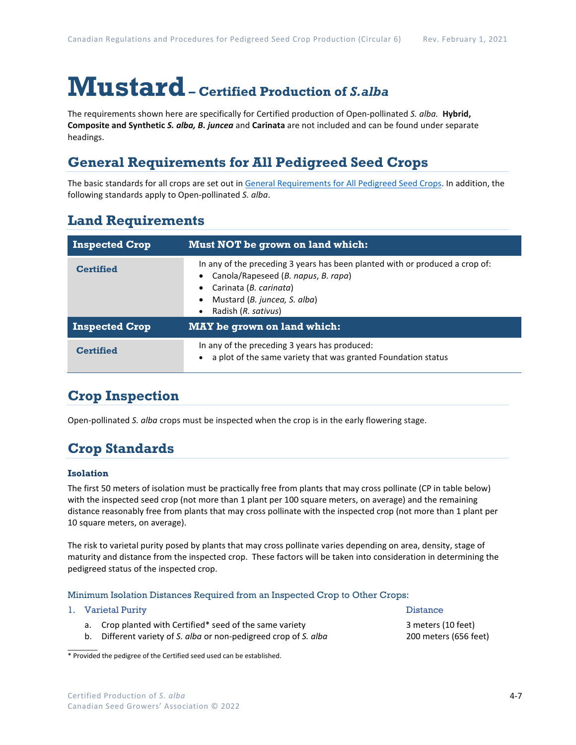# **Mustard– Certified Production of** *S.alba*

The requirements shown here are specifically for Certified production of Open-pollinated *S. alba.* **Hybrid, Composite and Synthetic** *S. alba, B. juncea* and **Carinata** are not included and can be found under separate headings.

## **General Requirements for All Pedigreed Seed Crops**

The basic standards for all crops are set out i[n General Requirements for All Pedigreed Seed](https://seedgrowers.ca/wp-content/uploads/2020/01/GENERAL-REQUIREMENTS-ALL-CROPS_EN.pdf) Crops. In addition, the following standards apply to Open-pollinated *S. alba*.

## **Land Requirements**

| <b>Inspected Crop</b> | Must NOT be grown on land which:                                                                                                                                                                     |  |  |  |
|-----------------------|------------------------------------------------------------------------------------------------------------------------------------------------------------------------------------------------------|--|--|--|
| <b>Certified</b>      | In any of the preceding 3 years has been planted with or produced a crop of:<br>Canola/Rapeseed (B. napus, B. rapa)<br>Carinata (B. carinata)<br>Mustard (B. juncea, S. alba)<br>Radish (R. sativus) |  |  |  |
| <b>Inspected Crop</b> | <b>MAY</b> be grown on land which:                                                                                                                                                                   |  |  |  |
| <b>Certified</b>      | In any of the preceding 3 years has produced:<br>a plot of the same variety that was granted Foundation status                                                                                       |  |  |  |

## **Crop Inspection**

Open-pollinated *S. alba* crops must be inspected when the crop is in the early flowering stage.

## **Crop Standards**

#### **Isolation**

The first 50 meters of isolation must be practically free from plants that may cross pollinate (CP in table below) with the inspected seed crop (not more than 1 plant per 100 square meters, on average) and the remaining distance reasonably free from plants that may cross pollinate with the inspected crop (not more than 1 plant per 10 square meters, on average).

The risk to varietal purity posed by plants that may cross pollinate varies depending on area, density, stage of maturity and distance from the inspected crop. These factors will be taken into consideration in determining the pedigreed status of the inspected crop.

#### Minimum Isolation Distances Required from an Inspected Crop to Other Crops:

|  | 1. Varietal Purity                                                                                                           | <b>Distance</b>                             |  |
|--|------------------------------------------------------------------------------------------------------------------------------|---------------------------------------------|--|
|  | a. Crop planted with Certified* seed of the same variety<br>b. Different variety of S. alba or non-pedigreed crop of S. alba | 3 meters (10 feet)<br>200 meters (656 feet) |  |

\* Provided the pedigree of the Certified seed used can be established.